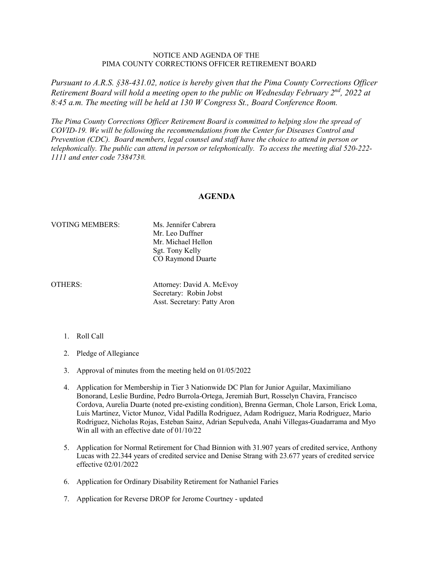## NOTICE AND AGENDA OF THE PIMA COUNTY CORRECTIONS OFFICER RETIREMENT BOARD

*Pursuant to A.R.S. §38-431.02, notice is hereby given that the Pima County Corrections Officer Retirement Board will hold a meeting open to the public on Wednesday February 2nd, 2022 at 8:45 a.m. The meeting will be held at 130 W Congress St., Board Conference Room.*

*The Pima County Corrections Officer Retirement Board is committed to helping slow the spread of COVID-19. We will be following the recommendations from the Center for Diseases Control and Prevention (CDC). Board members, legal counsel and staff have the choice to attend in person or telephonically. The public can attend in person or telephonically. To access the meeting dial 520-222- 1111 and enter code 738473#.*

## **AGENDA**

## VOTING MEMBERS: Ms. Jennifer Cabrera

Mr. Leo Duffner Mr. Michael Hellon Sgt. Tony Kelly CO Raymond Duarte

OTHERS: Attorney: David A. McEvoy Secretary: Robin Jobst Asst. Secretary: Patty Aron

- 1. Roll Call
- 2. Pledge of Allegiance
- 3. Approval of minutes from the meeting held on 01/05/2022
- 4. Application for Membership in Tier 3 Nationwide DC Plan for Junior Aguilar, Maximiliano Bonorand, Leslie Burdine, Pedro Burrola-Ortega, Jeremiah Burt, Rosselyn Chavira, Francisco Cordova, Aurelia Duarte (noted pre-existing condition), Brenna German, Chole Larson, Erick Loma, Luis Martinez, Victor Munoz, Vidal Padilla Rodriguez, Adam Rodriguez, Maria Rodriguez, Mario Rodriguez, Nicholas Rojas, Esteban Sainz, Adrian Sepulveda, Anahi Villegas-Guadarrama and Myo Win all with an effective date of 01/10/22
- 5. Application for Normal Retirement for Chad Binnion with 31.907 years of credited service, Anthony Lucas with 22.344 years of credited service and Denise Strang with 23.677 years of credited service effective 02/01/2022
- 6. Application for Ordinary Disability Retirement for Nathaniel Faries
- 7. Application for Reverse DROP for Jerome Courtney updated